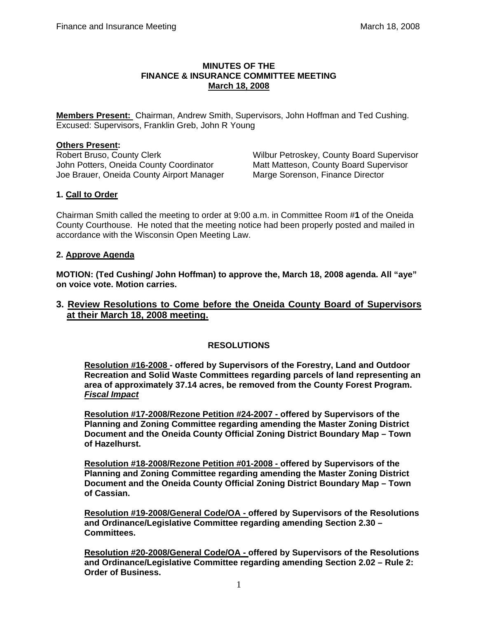### **MINUTES OF THE FINANCE & INSURANCE COMMITTEE MEETING March 18, 2008**

**Members Present:** Chairman, Andrew Smith, Supervisors, John Hoffman and Ted Cushing. Excused: Supervisors, Franklin Greb, John R Young

## **Others Present:**

Robert Bruso, County Clerk Wilbur Petroskey, County Board Supervisor John Potters, Oneida County Coordinator Matt Matteson, County Board Supervisor Joe Brauer, Oneida County Airport Manager Marge Sorenson, Finance Director

# **1. Call to Order**

Chairman Smith called the meeting to order at 9:00 a.m. in Committee Room #**1** of the Oneida County Courthouse. He noted that the meeting notice had been properly posted and mailed in accordance with the Wisconsin Open Meeting Law.

## **2. Approve Agenda**

**MOTION: (Ted Cushing/ John Hoffman) to approve the, March 18, 2008 agenda. All "aye" on voice vote. Motion carries.** 

# **3. Review Resolutions to Come before the Oneida County Board of Supervisors at their March 18, 2008 meeting.**

# **RESOLUTIONS**

**Resolution #16-2008 - offered by Supervisors of the Forestry, Land and Outdoor Recreation and Solid Waste Committees regarding parcels of land representing an area of approximately 37.14 acres, be removed from the County Forest Program.**  *Fiscal Impact*

**Resolution #17-2008/Rezone Petition #24-2007 - offered by Supervisors of the Planning and Zoning Committee regarding amending the Master Zoning District Document and the Oneida County Official Zoning District Boundary Map – Town of Hazelhurst.** 

**Resolution #18-2008/Rezone Petition #01-2008 - offered by Supervisors of the Planning and Zoning Committee regarding amending the Master Zoning District Document and the Oneida County Official Zoning District Boundary Map – Town of Cassian.** 

**Resolution #19-2008/General Code/OA - offered by Supervisors of the Resolutions and Ordinance/Legislative Committee regarding amending Section 2.30 – Committees.** 

**Resolution #20-2008/General Code/OA - offered by Supervisors of the Resolutions and Ordinance/Legislative Committee regarding amending Section 2.02 – Rule 2: Order of Business.**